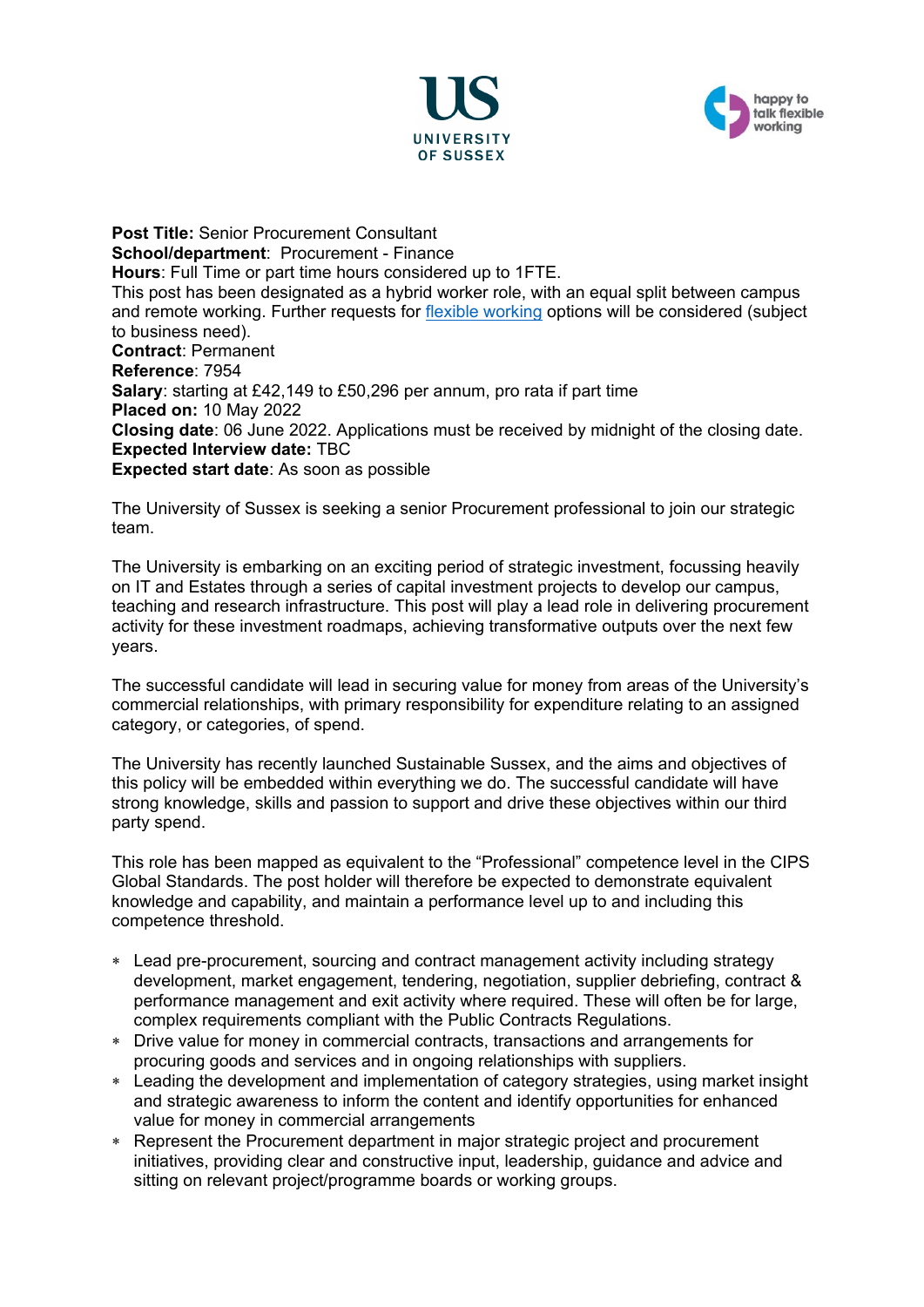



**Post Title:** Senior Procurement Consultant **School/department**: Procurement - Finance **Hours**: Full Time or part time hours considered up to 1FTE. This post has been designated as a hybrid worker role, with an equal split between campus and remote working. Further requests for [flexible working](http://www.sussex.ac.uk/humanresources/personnel/flexible-working) options will be considered (subject to business need). **Contract**: Permanent **Reference**: 7954 **Salary**: starting at £42,149 to £50,296 per annum, pro rata if part time **Placed on:** 10 May 2022 **Closing date**: 06 June 2022. Applications must be received by midnight of the closing date. **Expected Interview date:** TBC **Expected start date**: As soon as possible

The University of Sussex is seeking a senior Procurement professional to join our strategic team.

The University is embarking on an exciting period of strategic investment, focussing heavily on IT and Estates through a series of capital investment projects to develop our campus, teaching and research infrastructure. This post will play a lead role in delivering procurement activity for these investment roadmaps, achieving transformative outputs over the next few years.

The successful candidate will lead in securing value for money from areas of the University's commercial relationships, with primary responsibility for expenditure relating to an assigned category, or categories, of spend.

The University has recently launched Sustainable Sussex, and the aims and objectives of this policy will be embedded within everything we do. The successful candidate will have strong knowledge, skills and passion to support and drive these objectives within our third party spend.

This role has been mapped as equivalent to the "Professional" competence level in the CIPS Global Standards. The post holder will therefore be expected to demonstrate equivalent knowledge and capability, and maintain a performance level up to and including this competence threshold.

- ∗ Lead pre-procurement, sourcing and contract management activity including strategy development, market engagement, tendering, negotiation, supplier debriefing, contract & performance management and exit activity where required. These will often be for large, complex requirements compliant with the Public Contracts Regulations.
- ∗ Drive value for money in commercial contracts, transactions and arrangements for procuring goods and services and in ongoing relationships with suppliers.
- ∗ Leading the development and implementation of category strategies, using market insight and strategic awareness to inform the content and identify opportunities for enhanced value for money in commercial arrangements
- ∗ Represent the Procurement department in major strategic project and procurement initiatives, providing clear and constructive input, leadership, guidance and advice and sitting on relevant project/programme boards or working groups.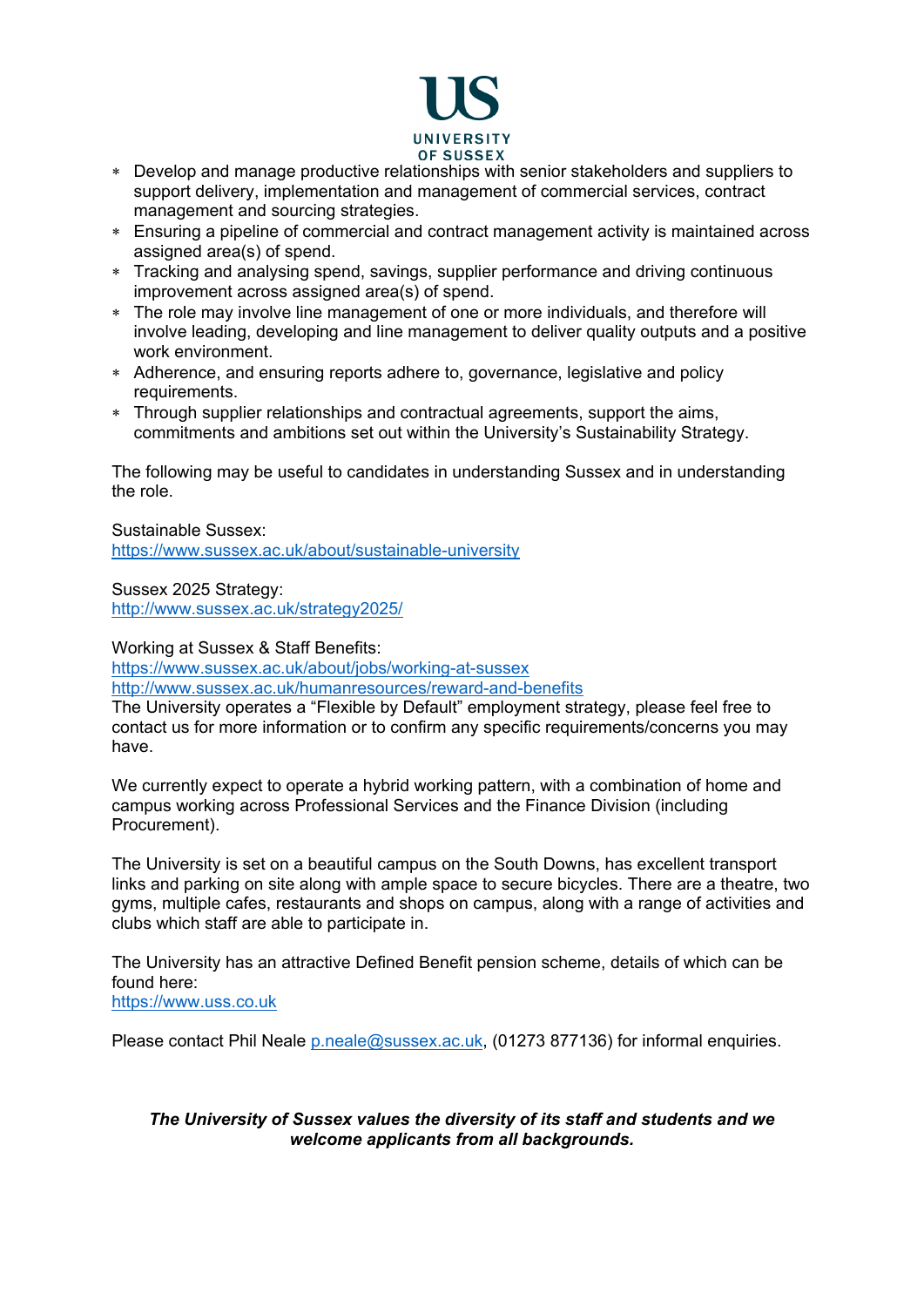

- ∗ Develop and manage productive relationships with senior stakeholders and suppliers to support delivery, implementation and management of commercial services, contract management and sourcing strategies.
- ∗ Ensuring a pipeline of commercial and contract management activity is maintained across assigned area(s) of spend.
- ∗ Tracking and analysing spend, savings, supplier performance and driving continuous improvement across assigned area(s) of spend.
- ∗ The role may involve line management of one or more individuals, and therefore will involve leading, developing and line management to deliver quality outputs and a positive work environment.
- ∗ Adherence, and ensuring reports adhere to, governance, legislative and policy requirements.
- ∗ Through supplier relationships and contractual agreements, support the aims, commitments and ambitions set out within the University's Sustainability Strategy.

The following may be useful to candidates in understanding Sussex and in understanding the role.

Sustainable Sussex: <https://www.sussex.ac.uk/about/sustainable-university>

Sussex 2025 Strategy: <http://www.sussex.ac.uk/strategy2025/>

Working at Sussex & Staff Benefits:

<https://www.sussex.ac.uk/about/jobs/working-at-sussex>

<http://www.sussex.ac.uk/humanresources/reward-and-benefits>

The University operates a "Flexible by Default" employment strategy, please feel free to contact us for more information or to confirm any specific requirements/concerns you may have.

We currently expect to operate a hybrid working pattern, with a combination of home and campus working across Professional Services and the Finance Division (including Procurement).

The University is set on a beautiful campus on the South Downs, has excellent transport links and parking on site along with ample space to secure bicycles. There are a theatre, two gyms, multiple cafes, restaurants and shops on campus, along with a range of activities and clubs which staff are able to participate in.

The University has an attractive Defined Benefit pension scheme, details of which can be found here:

[https://www.uss.co.uk](https://www.uss.co.uk/)

Please contact Phil Neale [p.neale@sussex.ac.uk,](mailto:p.neale@sussex.ac.uk) (01273 877136) for informal enquiries.

## *The University of Sussex values the diversity of its staff and students and we welcome applicants from all backgrounds.*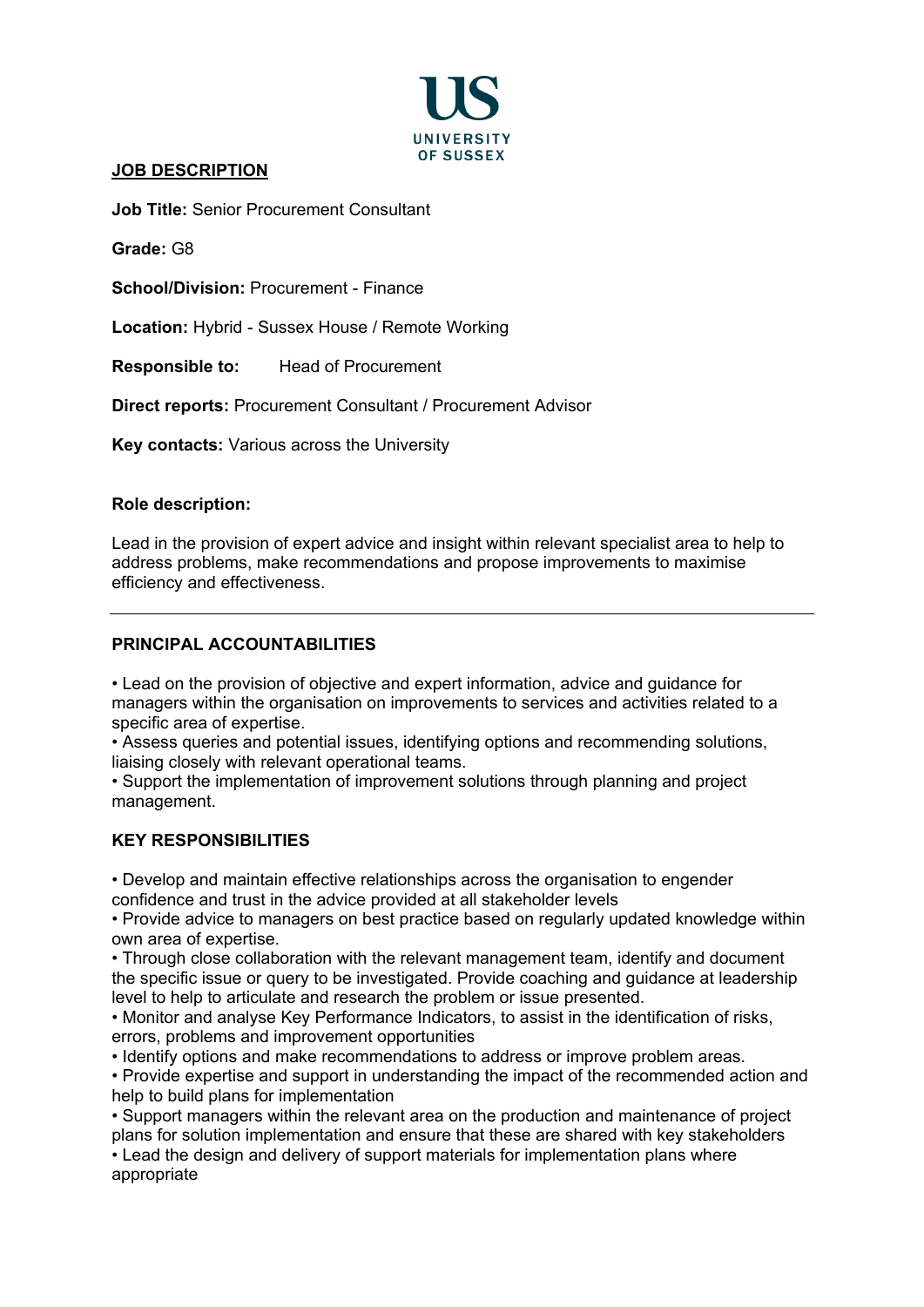

# **JOB DESCRIPTION**

**Job Title:** Senior Procurement Consultant

**Grade:** G8

**School/Division:** Procurement - Finance

**Location:** Hybrid - Sussex House / Remote Working

**Responsible to:** Head of Procurement

**Direct reports:** Procurement Consultant / Procurement Advisor

**Key contacts:** Various across the University

#### **Role description:**

Lead in the provision of expert advice and insight within relevant specialist area to help to address problems, make recommendations and propose improvements to maximise efficiency and effectiveness.

### **PRINCIPAL ACCOUNTABILITIES**

• Lead on the provision of objective and expert information, advice and guidance for managers within the organisation on improvements to services and activities related to a specific area of expertise.

• Assess queries and potential issues, identifying options and recommending solutions, liaising closely with relevant operational teams.

• Support the implementation of improvement solutions through planning and project management.

## **KEY RESPONSIBILITIES**

• Develop and maintain effective relationships across the organisation to engender confidence and trust in the advice provided at all stakeholder levels

• Provide advice to managers on best practice based on regularly updated knowledge within own area of expertise.

• Through close collaboration with the relevant management team, identify and document the specific issue or query to be investigated. Provide coaching and guidance at leadership level to help to articulate and research the problem or issue presented.

• Monitor and analyse Key Performance Indicators, to assist in the identification of risks, errors, problems and improvement opportunities

• Identify options and make recommendations to address or improve problem areas.

• Provide expertise and support in understanding the impact of the recommended action and help to build plans for implementation

• Support managers within the relevant area on the production and maintenance of project plans for solution implementation and ensure that these are shared with key stakeholders

• Lead the design and delivery of support materials for implementation plans where appropriate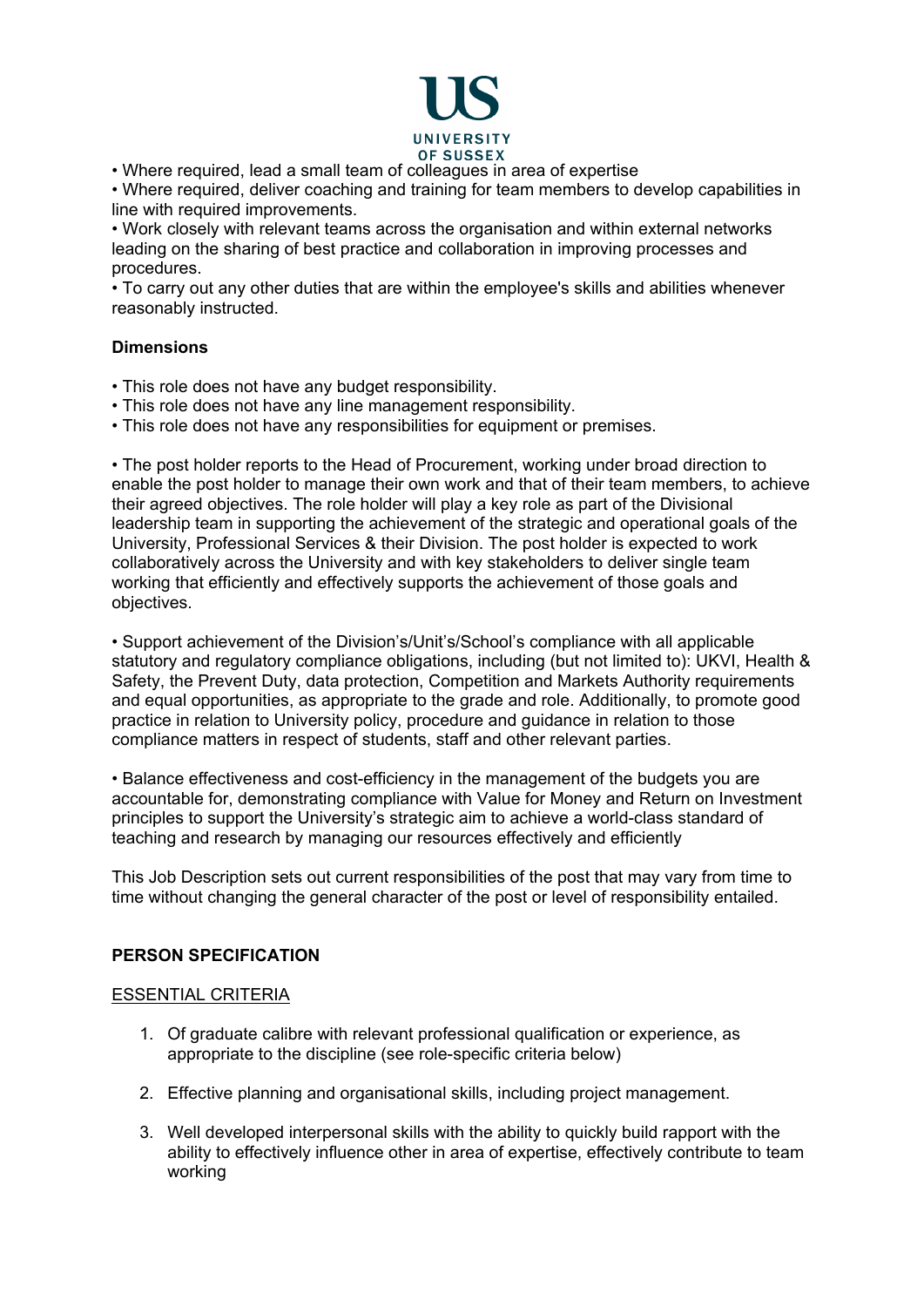

• Where required, lead a small team of colleagues in area of expertise

• Where required, deliver coaching and training for team members to develop capabilities in line with required improvements.

• Work closely with relevant teams across the organisation and within external networks leading on the sharing of best practice and collaboration in improving processes and procedures.

• To carry out any other duties that are within the employee's skills and abilities whenever reasonably instructed.

#### **Dimensions**

- This role does not have any budget responsibility.
- This role does not have any line management responsibility.
- This role does not have any responsibilities for equipment or premises.

• The post holder reports to the Head of Procurement, working under broad direction to enable the post holder to manage their own work and that of their team members, to achieve their agreed objectives. The role holder will play a key role as part of the Divisional leadership team in supporting the achievement of the strategic and operational goals of the University, Professional Services & their Division. The post holder is expected to work collaboratively across the University and with key stakeholders to deliver single team working that efficiently and effectively supports the achievement of those goals and objectives.

• Support achievement of the Division's/Unit's/School's compliance with all applicable statutory and regulatory compliance obligations, including (but not limited to): UKVI, Health & Safety, the Prevent Duty, data protection, Competition and Markets Authority requirements and equal opportunities, as appropriate to the grade and role. Additionally, to promote good practice in relation to University policy, procedure and guidance in relation to those compliance matters in respect of students, staff and other relevant parties.

• Balance effectiveness and cost-efficiency in the management of the budgets you are accountable for, demonstrating compliance with Value for Money and Return on Investment principles to support the University's strategic aim to achieve a world-class standard of teaching and research by managing our resources effectively and efficiently

This Job Description sets out current responsibilities of the post that may vary from time to time without changing the general character of the post or level of responsibility entailed.

## **PERSON SPECIFICATION**

#### ESSENTIAL CRITERIA

- 1. Of graduate calibre with relevant professional qualification or experience, as appropriate to the discipline (see role-specific criteria below)
- 2. Effective planning and organisational skills, including project management.
- 3. Well developed interpersonal skills with the ability to quickly build rapport with the ability to effectively influence other in area of expertise, effectively contribute to team working